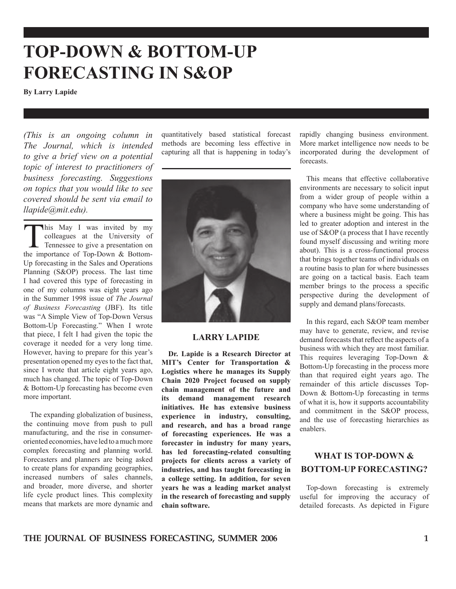# **TOP-DOWN & BOTTOM-UP FORECASTING IN S&OP**

**By Larry Lapide**

*(This is an ongoing column in The Journal, which is intended to give a brief view on a potential topic of interest to practitioners of business forecasting. Suggestions on topics that you would like to see covered should be sent via email to llapide@mit.edu).*

This May I was invited by my colleagues at the University of **T** Tennessee to give a presentation on the importance of Top-Down & Bottom-Up forecasting in the Sales and Operations Planning (S&OP) process. The last time I had covered this type of forecasting in one of my columns was eight years ago in the Summer 1998 issue of *The Journal of Business Forecasting* (JBF). Its title was "A Simple View of Top-Down Versus Bottom-Up Forecasting." When I wrote that piece, I felt I had given the topic the coverage it needed for a very long time. However, having to prepare for this year's presentation opened my eyes to the fact that, since I wrote that article eight years ago, much has changed. The topic of Top-Down & Bottom-Up forecasting has become even more important.

 The expanding globalization of business, the continuing move from push to pull manufacturing, and the rise in consumeroriented economies, have led to a much more complex forecasting and planning world. Forecasters and planners are being asked to create plans for expanding geographies, increased numbers of sales channels, and broader, more diverse, and shorter life cycle product lines. This complexity means that markets are more dynamic and quantitatively based statistical forecast methods are becoming less effective in capturing all that is happening in today's



#### **LARRY LAPIDE**

 **Dr. Lapide is a Research Director at MIT's Center for Transportation & Logistics where he manages its Supply Chain 2020 Project focused on supply chain management of the future and its demand management research initiatives. He has extensive business experience in industry, consulting, and research, and has a broad range of forecasting experiences. He was a forecaster in industry for many years, has led forecasting-related consulting projects for clients across a variety of industries, and has taught forecasting in a college setting. In addition, for seven years he was a leading market analyst in the research of forecasting and supply chain software.**

rapidly changing business environment. More market intelligence now needs to be incorporated during the development of forecasts.

 This means that effective collaborative environments are necessary to solicit input from a wider group of people within a company who have some understanding of where a business might be going. This has led to greater adoption and interest in the use of S&OP (a process that I have recently found myself discussing and writing more about). This is a cross-functional process that brings together teams of individuals on a routine basis to plan for where businesses are going on a tactical basis. Each team member brings to the process a specific perspective during the development of supply and demand plans/forecasts.

 In this regard, each S&OP team member may have to generate, review, and revise demand forecasts that reflect the aspects of a business with which they are most familiar. This requires leveraging Top-Down & Bottom-Up forecasting in the process more than that required eight years ago. The remainder of this article discusses Top-Down & Bottom-Up forecasting in terms of what it is, how it supports accountability and commitment in the S&OP process, and the use of forecasting hierarchies as enablers.

#### **WHAT IS TOP-DOWN & BOTTOM-UP FORECASTING?**

 Top-down forecasting is extremely useful for improving the accuracy of detailed forecasts. As depicted in Figure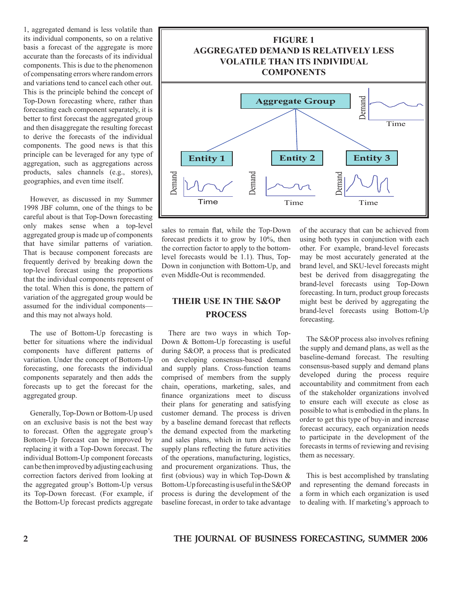1, aggregated demand is less volatile than its individual components, so on a relative basis a forecast of the aggregate is more accurate than the forecasts of its individual components. This is due to the phenomenon of compensating errors where random errors and variations tend to cancel each other out. This is the principle behind the concept of Top-Down forecasting where, rather than forecasting each component separately, it is better to first forecast the aggregated group and then disaggregate the resulting forecast to derive the forecasts of the individual components. The good news is that this principle can be leveraged for any type of aggregation, such as aggregations across products, sales channels (e.g., stores), geographies, and even time itself.

 However, as discussed in my Summer 1998 JBF column, one of the things to be careful about is that Top-Down forecasting only makes sense when a top-level aggregated group is made up of components that have similar patterns of variation. That is because component forecasts are frequently derived by breaking down the top-level forecast using the proportions that the individual components represent of the total. When this is done, the pattern of variation of the aggregated group would be assumed for the individual components and this may not always hold.

 The use of Bottom-Up forecasting is better for situations where the individual components have different patterns of variation. Under the concept of Bottom-Up forecasting, one forecasts the individual components separately and then adds the forecasts up to get the forecast for the aggregated group.

 Generally, Top-Down or Bottom-Up used on an exclusive basis is not the best way to forecast. Often the aggregate group's Bottom-Up forecast can be improved by replacing it with a Top-Down forecast. The individual Bottom-Up component forecasts can be then improved by adjusting each using correction factors derived from looking at the aggregated group's Bottom-Up versus its Top-Down forecast. (For example, if the Bottom-Up forecast predicts aggregate



sales to remain flat, while the Top-Down forecast predicts it to grow by 10%, then the correction factor to apply to the bottomlevel forecasts would be 1.1). Thus, Top-Down in conjunction with Bottom-Up, and even Middle-Out is recommended.

### **THEIR USE IN THE S&OP PROCESS**

 There are two ways in which Top-Down & Bottom-Up forecasting is useful during S&OP, a process that is predicated on developing consensus-based demand and supply plans. Cross-function teams comprised of members from the supply chain, operations, marketing, sales, and finance organizations meet to discuss their plans for generating and satisfying customer demand. The process is driven by a baseline demand forecast that reflects the demand expected from the marketing and sales plans, which in turn drives the supply plans reflecting the future activities of the operations, manufacturing, logistics, and procurement organizations. Thus, the first (obvious) way in which Top-Down & Bottom-Up forecasting is useful in the S&OP process is during the development of the baseline forecast, in order to take advantage

of the accuracy that can be achieved from using both types in conjunction with each other. For example, brand-level forecasts may be most accurately generated at the brand level, and SKU-level forecasts might best be derived from disaggregating the brand-level forecasts using Top-Down forecasting. In turn, product group forecasts might best be derived by aggregating the brand-level forecasts using Bottom-Up forecasting.

 The S&OP process also involves refining the supply and demand plans, as well as the baseline-demand forecast. The resulting consensus-based supply and demand plans developed during the process require accountability and commitment from each of the stakeholder organizations involved to ensure each will execute as close as possible to what is embodied in the plans. In order to get this type of buy-in and increase forecast accuracy, each organization needs to participate in the development of the forecasts in terms of reviewing and revising them as necessary.

 This is best accomplished by translating and representing the demand forecasts in a form in which each organization is used to dealing with. If marketing's approach to